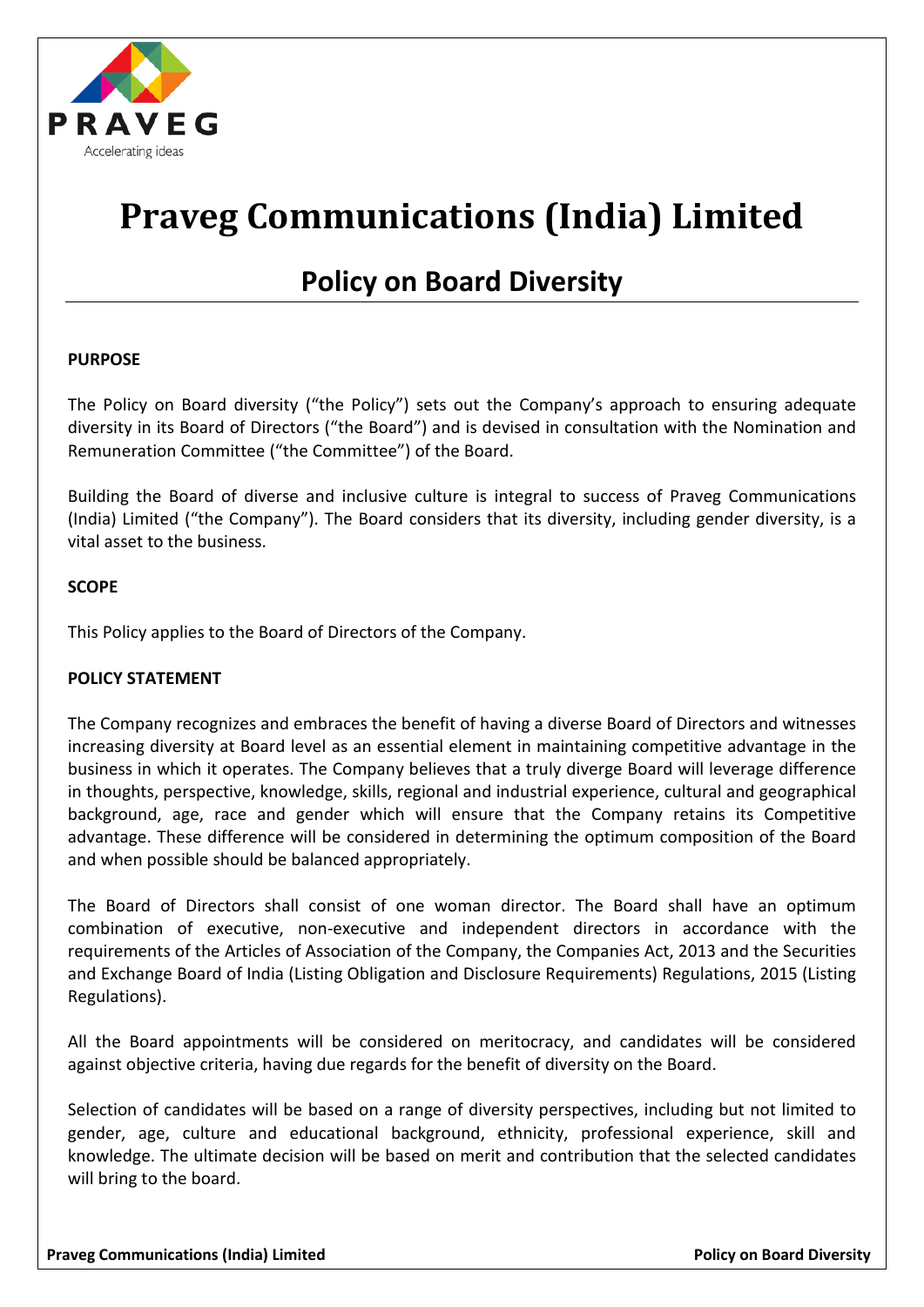

# **Praveg Communications (India) Limited**

# **Policy on Board Diversity**

## **PURPOSE**

The Policy on Board diversity ("the Policy") sets out the Company's approach to ensuring adequate diversity in its Board of Directors ("the Board") and is devised in consultation with the Nomination and Remuneration Committee ("the Committee") of the Board.

Building the Board of diverse and inclusive culture is integral to success of Praveg Communications (India) Limited ("the Company"). The Board considers that its diversity, including gender diversity, is a vital asset to the business.

## **SCOPE**

This Policy applies to the Board of Directors of the Company.

#### **POLICY STATEMENT**

The Company recognizes and embraces the benefit of having a diverse Board of Directors and witnesses increasing diversity at Board level as an essential element in maintaining competitive advantage in the business in which it operates. The Company believes that a truly diverge Board will leverage difference in thoughts, perspective, knowledge, skills, regional and industrial experience, cultural and geographical background, age, race and gender which will ensure that the Company retains its Competitive advantage. These difference will be considered in determining the optimum composition of the Board and when possible should be balanced appropriately.

The Board of Directors shall consist of one woman director. The Board shall have an optimum combination of executive, non-executive and independent directors in accordance with the requirements of the Articles of Association of the Company, the Companies Act, 2013 and the Securities and Exchange Board of India (Listing Obligation and Disclosure Requirements) Regulations, 2015 (Listing Regulations).

All the Board appointments will be considered on meritocracy, and candidates will be considered against objective criteria, having due regards for the benefit of diversity on the Board.

Selection of candidates will be based on a range of diversity perspectives, including but not limited to gender, age, culture and educational background, ethnicity, professional experience, skill and knowledge. The ultimate decision will be based on merit and contribution that the selected candidates will bring to the board.